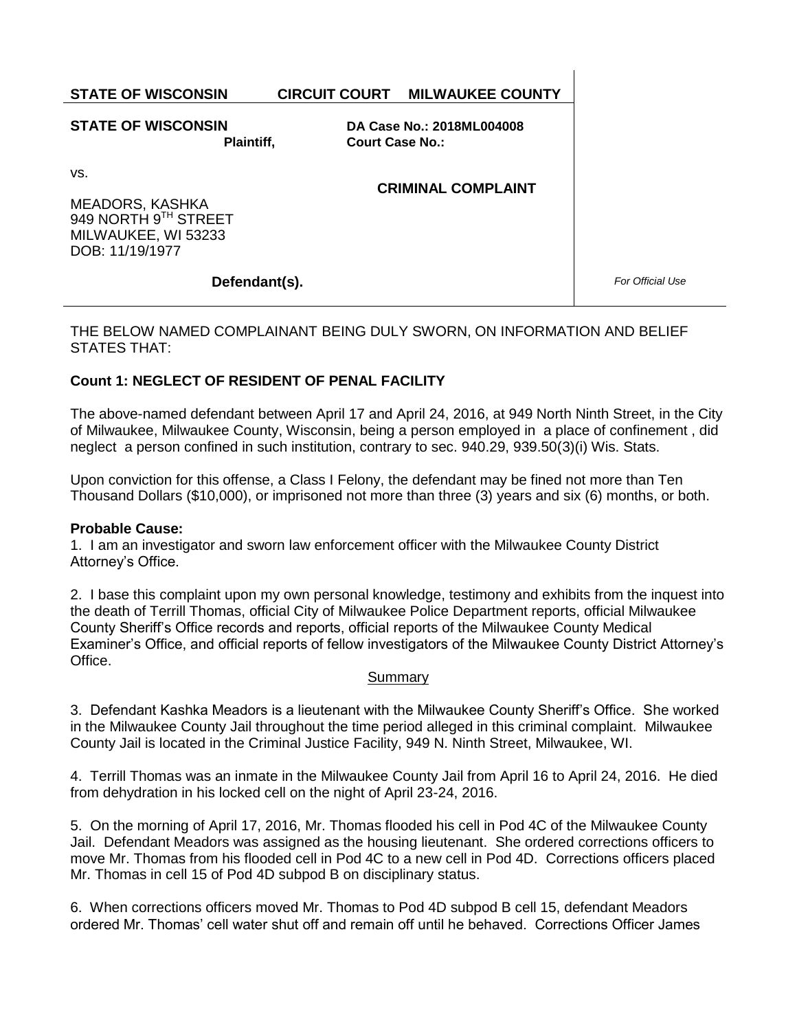**STATE OF WISCONSIN CIRCUIT COURT MILWAUKEE COUNTY**

#### **STATE OF WISCONSIN Plaintiff,**

**DA Case No.: 2018ML004008 Court Case No.:** 

**CRIMINAL COMPLAINT**

vs.

MEADORS, KASHKA 949 NORTH 9TH STREET MILWAUKEE, WI 53233 DOB: 11/19/1977

# **Defendant(s).**

*For Official Use*

## THE BELOW NAMED COMPLAINANT BEING DULY SWORN, ON INFORMATION AND BELIEF STATES THAT:

# **Count 1: NEGLECT OF RESIDENT OF PENAL FACILITY**

The above-named defendant between April 17 and April 24, 2016, at 949 North Ninth Street, in the City of Milwaukee, Milwaukee County, Wisconsin, being a person employed in a place of confinement , did neglect a person confined in such institution, contrary to sec. 940.29, 939.50(3)(i) Wis. Stats.

Upon conviction for this offense, a Class I Felony, the defendant may be fined not more than Ten Thousand Dollars (\$10,000), or imprisoned not more than three (3) years and six (6) months, or both.

## **Probable Cause:**

1. I am an investigator and sworn law enforcement officer with the Milwaukee County District Attorney's Office.

2. I base this complaint upon my own personal knowledge, testimony and exhibits from the inquest into the death of Terrill Thomas, official City of Milwaukee Police Department reports, official Milwaukee County Sheriff's Office records and reports, official reports of the Milwaukee County Medical Examiner's Office, and official reports of fellow investigators of the Milwaukee County District Attorney's Office.

#### Summary

3. Defendant Kashka Meadors is a lieutenant with the Milwaukee County Sheriff's Office. She worked in the Milwaukee County Jail throughout the time period alleged in this criminal complaint. Milwaukee County Jail is located in the Criminal Justice Facility, 949 N. Ninth Street, Milwaukee, WI.

4. Terrill Thomas was an inmate in the Milwaukee County Jail from April 16 to April 24, 2016. He died from dehydration in his locked cell on the night of April 23-24, 2016.

5. On the morning of April 17, 2016, Mr. Thomas flooded his cell in Pod 4C of the Milwaukee County Jail. Defendant Meadors was assigned as the housing lieutenant. She ordered corrections officers to move Mr. Thomas from his flooded cell in Pod 4C to a new cell in Pod 4D. Corrections officers placed Mr. Thomas in cell 15 of Pod 4D subpod B on disciplinary status.

6. When corrections officers moved Mr. Thomas to Pod 4D subpod B cell 15, defendant Meadors ordered Mr. Thomas' cell water shut off and remain off until he behaved. Corrections Officer James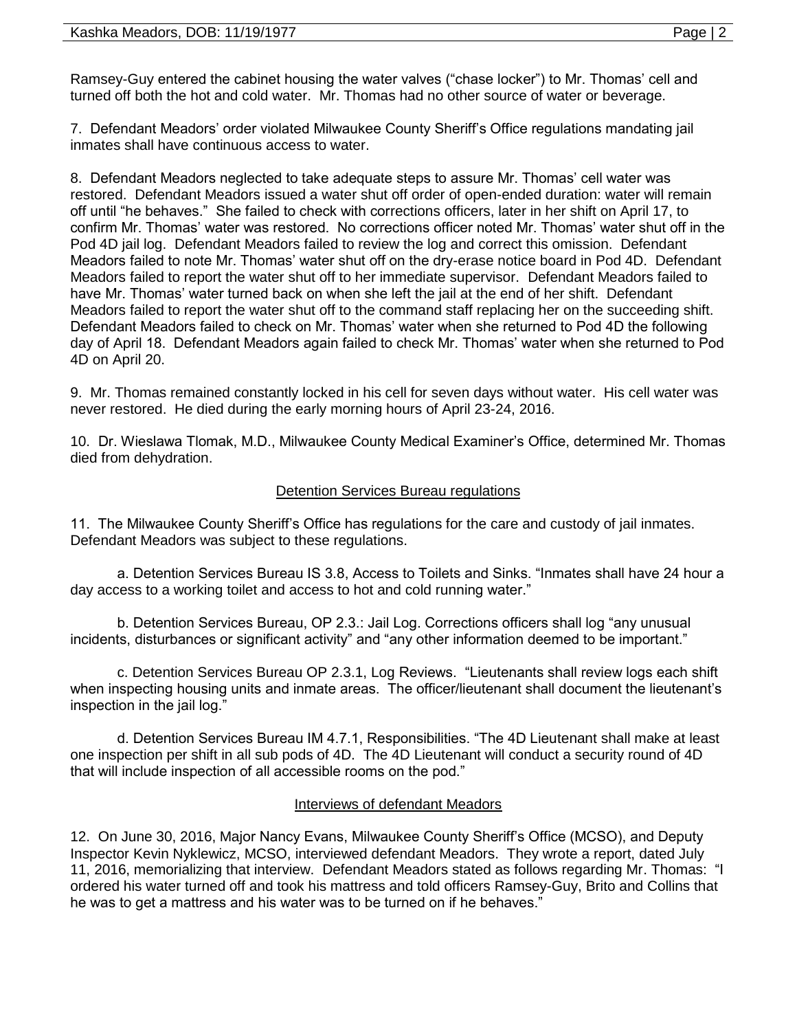Ramsey-Guy entered the cabinet housing the water valves ("chase locker") to Mr. Thomas' cell and turned off both the hot and cold water. Mr. Thomas had no other source of water or beverage.

7. Defendant Meadors' order violated Milwaukee County Sheriff's Office regulations mandating jail inmates shall have continuous access to water.

8. Defendant Meadors neglected to take adequate steps to assure Mr. Thomas' cell water was restored. Defendant Meadors issued a water shut off order of open-ended duration: water will remain off until "he behaves." She failed to check with corrections officers, later in her shift on April 17, to confirm Mr. Thomas' water was restored. No corrections officer noted Mr. Thomas' water shut off in the Pod 4D jail log. Defendant Meadors failed to review the log and correct this omission. Defendant Meadors failed to note Mr. Thomas' water shut off on the dry-erase notice board in Pod 4D. Defendant Meadors failed to report the water shut off to her immediate supervisor. Defendant Meadors failed to have Mr. Thomas' water turned back on when she left the jail at the end of her shift. Defendant Meadors failed to report the water shut off to the command staff replacing her on the succeeding shift. Defendant Meadors failed to check on Mr. Thomas' water when she returned to Pod 4D the following day of April 18. Defendant Meadors again failed to check Mr. Thomas' water when she returned to Pod 4D on April 20.

9. Mr. Thomas remained constantly locked in his cell for seven days without water. His cell water was never restored. He died during the early morning hours of April 23-24, 2016.

10. Dr. Wieslawa Tlomak, M.D., Milwaukee County Medical Examiner's Office, determined Mr. Thomas died from dehydration.

# Detention Services Bureau regulations

11. The Milwaukee County Sheriff's Office has regulations for the care and custody of jail inmates. Defendant Meadors was subject to these regulations.

a. Detention Services Bureau IS 3.8, Access to Toilets and Sinks. "Inmates shall have 24 hour a day access to a working toilet and access to hot and cold running water."

b. Detention Services Bureau, OP 2.3.: Jail Log. Corrections officers shall log "any unusual incidents, disturbances or significant activity" and "any other information deemed to be important."

c. Detention Services Bureau OP 2.3.1, Log Reviews. "Lieutenants shall review logs each shift when inspecting housing units and inmate areas. The officer/lieutenant shall document the lieutenant's inspection in the jail log."

d. Detention Services Bureau IM 4.7.1, Responsibilities. "The 4D Lieutenant shall make at least one inspection per shift in all sub pods of 4D. The 4D Lieutenant will conduct a security round of 4D that will include inspection of all accessible rooms on the pod."

## **Interviews of defendant Meadors**

12. On June 30, 2016, Major Nancy Evans, Milwaukee County Sheriff's Office (MCSO), and Deputy Inspector Kevin Nyklewicz, MCSO, interviewed defendant Meadors. They wrote a report, dated July 11, 2016, memorializing that interview. Defendant Meadors stated as follows regarding Mr. Thomas: "I ordered his water turned off and took his mattress and told officers Ramsey-Guy, Brito and Collins that he was to get a mattress and his water was to be turned on if he behaves."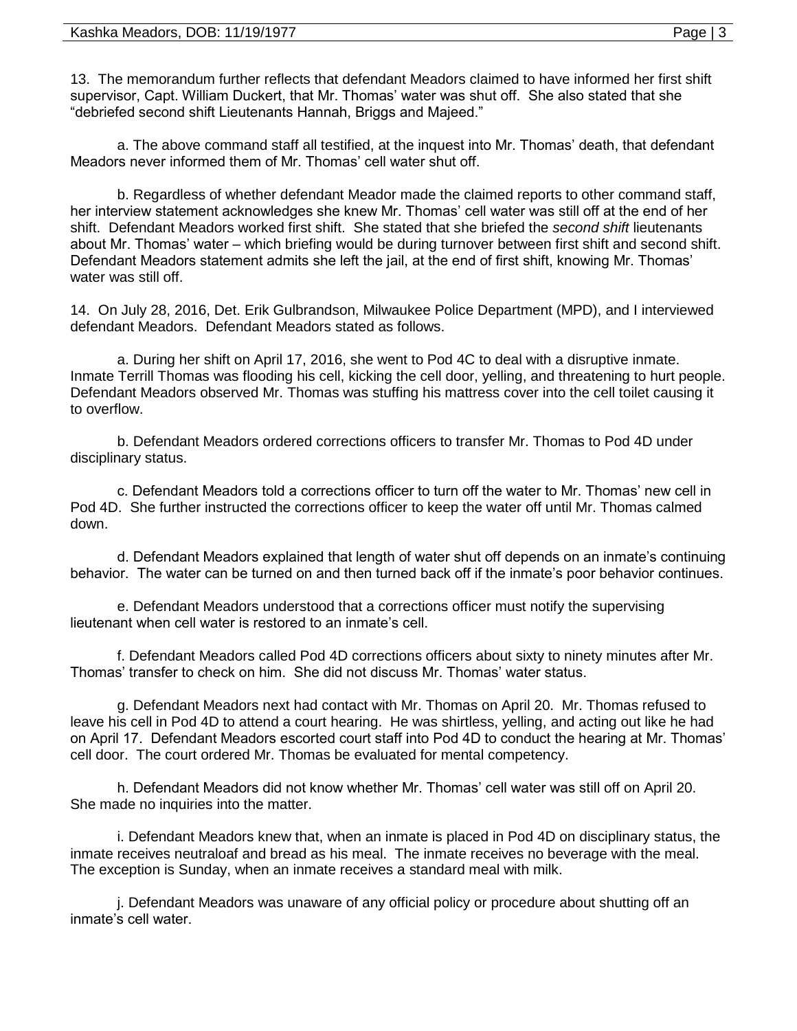13. The memorandum further reflects that defendant Meadors claimed to have informed her first shift supervisor, Capt. William Duckert, that Mr. Thomas' water was shut off. She also stated that she "debriefed second shift Lieutenants Hannah, Briggs and Majeed."

a. The above command staff all testified, at the inquest into Mr. Thomas' death, that defendant Meadors never informed them of Mr. Thomas' cell water shut off.

b. Regardless of whether defendant Meador made the claimed reports to other command staff, her interview statement acknowledges she knew Mr. Thomas' cell water was still off at the end of her shift. Defendant Meadors worked first shift. She stated that she briefed the *second shift* lieutenants about Mr. Thomas' water – which briefing would be during turnover between first shift and second shift. Defendant Meadors statement admits she left the jail, at the end of first shift, knowing Mr. Thomas' water was still off.

14. On July 28, 2016, Det. Erik Gulbrandson, Milwaukee Police Department (MPD), and I interviewed defendant Meadors. Defendant Meadors stated as follows.

a. During her shift on April 17, 2016, she went to Pod 4C to deal with a disruptive inmate. Inmate Terrill Thomas was flooding his cell, kicking the cell door, yelling, and threatening to hurt people. Defendant Meadors observed Mr. Thomas was stuffing his mattress cover into the cell toilet causing it to overflow.

b. Defendant Meadors ordered corrections officers to transfer Mr. Thomas to Pod 4D under disciplinary status.

c. Defendant Meadors told a corrections officer to turn off the water to Mr. Thomas' new cell in Pod 4D. She further instructed the corrections officer to keep the water off until Mr. Thomas calmed down.

d. Defendant Meadors explained that length of water shut off depends on an inmate's continuing behavior. The water can be turned on and then turned back off if the inmate's poor behavior continues.

e. Defendant Meadors understood that a corrections officer must notify the supervising lieutenant when cell water is restored to an inmate's cell.

f. Defendant Meadors called Pod 4D corrections officers about sixty to ninety minutes after Mr. Thomas' transfer to check on him. She did not discuss Mr. Thomas' water status.

g. Defendant Meadors next had contact with Mr. Thomas on April 20. Mr. Thomas refused to leave his cell in Pod 4D to attend a court hearing. He was shirtless, yelling, and acting out like he had on April 17. Defendant Meadors escorted court staff into Pod 4D to conduct the hearing at Mr. Thomas' cell door. The court ordered Mr. Thomas be evaluated for mental competency.

h. Defendant Meadors did not know whether Mr. Thomas' cell water was still off on April 20. She made no inquiries into the matter.

i. Defendant Meadors knew that, when an inmate is placed in Pod 4D on disciplinary status, the inmate receives neutraloaf and bread as his meal. The inmate receives no beverage with the meal. The exception is Sunday, when an inmate receives a standard meal with milk.

j. Defendant Meadors was unaware of any official policy or procedure about shutting off an inmate's cell water.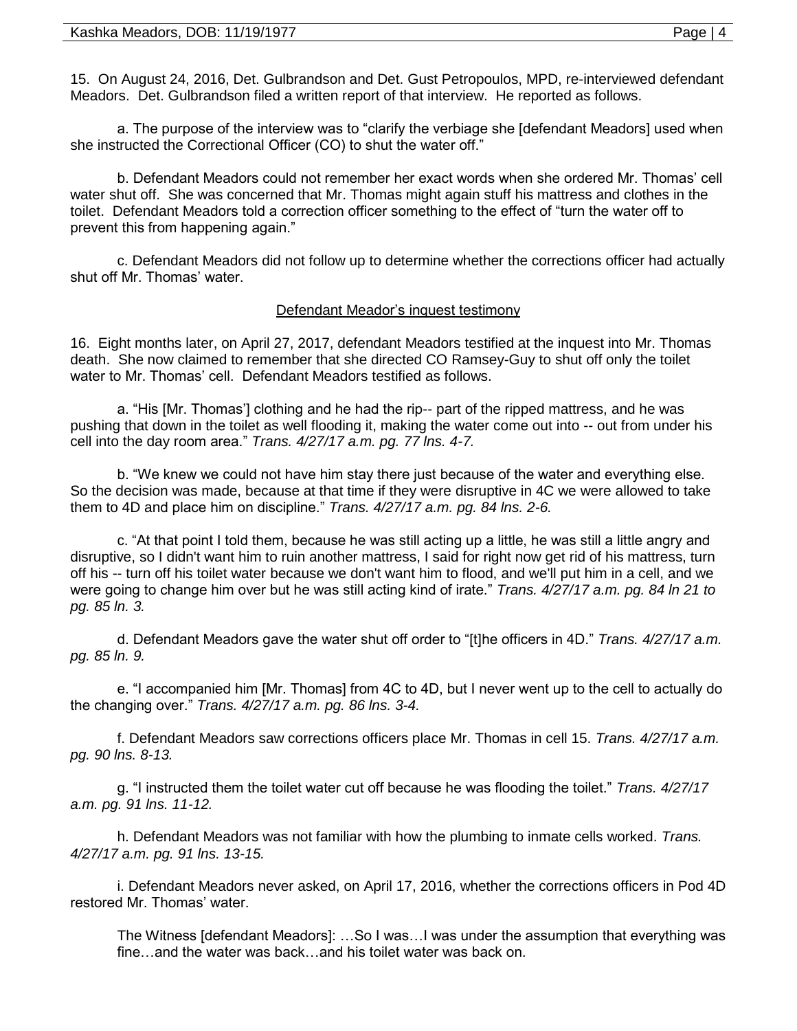15. On August 24, 2016, Det. Gulbrandson and Det. Gust Petropoulos, MPD, re-interviewed defendant Meadors. Det. Gulbrandson filed a written report of that interview. He reported as follows.

a. The purpose of the interview was to "clarify the verbiage she [defendant Meadors] used when she instructed the Correctional Officer (CO) to shut the water off."

b. Defendant Meadors could not remember her exact words when she ordered Mr. Thomas' cell water shut off. She was concerned that Mr. Thomas might again stuff his mattress and clothes in the toilet. Defendant Meadors told a correction officer something to the effect of "turn the water off to prevent this from happening again."

c. Defendant Meadors did not follow up to determine whether the corrections officer had actually shut off Mr. Thomas' water.

## Defendant Meador's inquest testimony

16. Eight months later, on April 27, 2017, defendant Meadors testified at the inquest into Mr. Thomas death. She now claimed to remember that she directed CO Ramsey-Guy to shut off only the toilet water to Mr. Thomas' cell. Defendant Meadors testified as follows.

a. "His [Mr. Thomas'] clothing and he had the rip-- part of the ripped mattress, and he was pushing that down in the toilet as well flooding it, making the water come out into -- out from under his cell into the day room area." *Trans. 4/27/17 a.m. pg. 77 lns. 4-7.*

b. "We knew we could not have him stay there just because of the water and everything else. So the decision was made, because at that time if they were disruptive in 4C we were allowed to take them to 4D and place him on discipline." *Trans. 4/27/17 a.m. pg. 84 lns. 2-6.*

c. "At that point I told them, because he was still acting up a little, he was still a little angry and disruptive, so I didn't want him to ruin another mattress, I said for right now get rid of his mattress, turn off his -- turn off his toilet water because we don't want him to flood, and we'll put him in a cell, and we were going to change him over but he was still acting kind of irate." *Trans. 4/27/17 a.m. pg. 84 ln 21 to pg. 85 ln. 3.*

d. Defendant Meadors gave the water shut off order to "[t]he officers in 4D." *Trans. 4/27/17 a.m. pg. 85 ln. 9.*

e. "I accompanied him [Mr. Thomas] from 4C to 4D, but I never went up to the cell to actually do the changing over." *Trans. 4/27/17 a.m. pg. 86 lns. 3-4.*

f. Defendant Meadors saw corrections officers place Mr. Thomas in cell 15. *Trans. 4/27/17 a.m. pg. 90 lns. 8-13.*

g. "I instructed them the toilet water cut off because he was flooding the toilet." *Trans. 4/27/17 a.m. pg. 91 lns. 11-12.*

h. Defendant Meadors was not familiar with how the plumbing to inmate cells worked. *Trans. 4/27/17 a.m. pg. 91 lns. 13-15.* 

i. Defendant Meadors never asked, on April 17, 2016, whether the corrections officers in Pod 4D restored Mr. Thomas' water.

The Witness [defendant Meadors]: …So I was…I was under the assumption that everything was fine…and the water was back…and his toilet water was back on.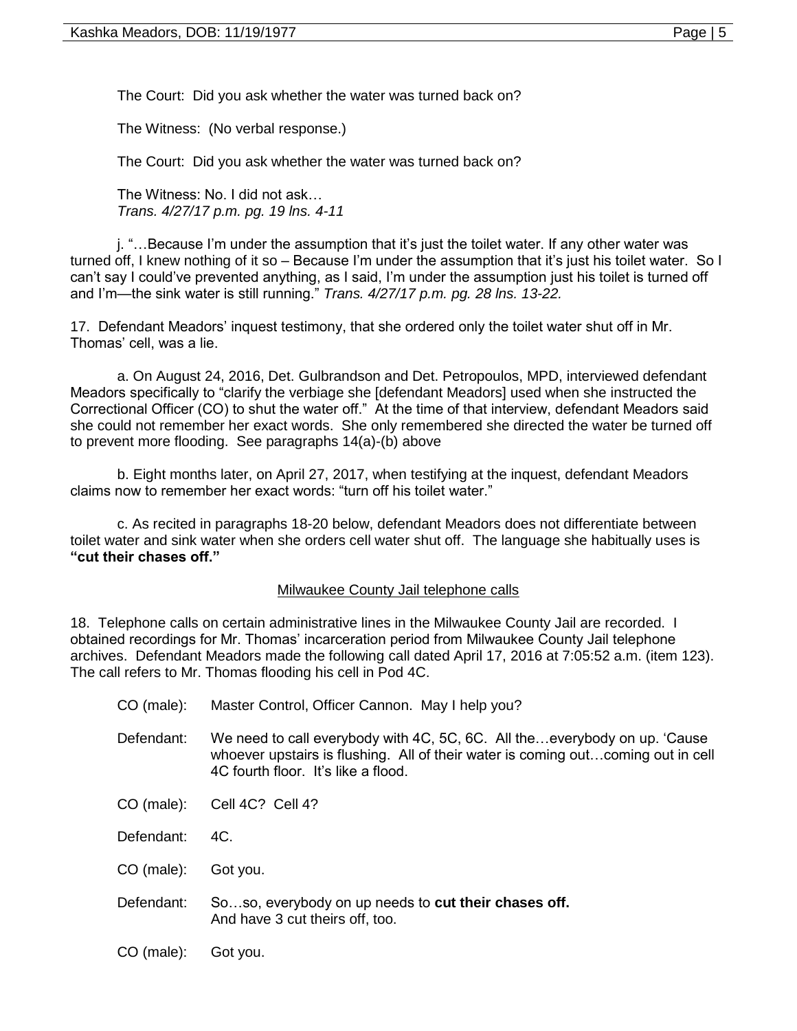The Court: Did you ask whether the water was turned back on?

The Witness: (No verbal response.)

The Court: Did you ask whether the water was turned back on?

The Witness: No. I did not ask… *Trans. 4/27/17 p.m. pg. 19 lns. 4-11*

j. "…Because I'm under the assumption that it's just the toilet water. If any other water was turned off, I knew nothing of it so – Because I'm under the assumption that it's just his toilet water. So I can't say I could've prevented anything, as I said, I'm under the assumption just his toilet is turned off and I'm—the sink water is still running." *Trans. 4/27/17 p.m. pg. 28 lns. 13-22.*

17. Defendant Meadors' inquest testimony, that she ordered only the toilet water shut off in Mr. Thomas' cell, was a lie.

a. On August 24, 2016, Det. Gulbrandson and Det. Petropoulos, MPD, interviewed defendant Meadors specifically to "clarify the verbiage she [defendant Meadors] used when she instructed the Correctional Officer (CO) to shut the water off." At the time of that interview, defendant Meadors said she could not remember her exact words. She only remembered she directed the water be turned off to prevent more flooding. See paragraphs 14(a)-(b) above

b. Eight months later, on April 27, 2017, when testifying at the inquest, defendant Meadors claims now to remember her exact words: "turn off his toilet water."

c. As recited in paragraphs 18-20 below, defendant Meadors does not differentiate between toilet water and sink water when she orders cell water shut off. The language she habitually uses is **"cut their chases off."**

## Milwaukee County Jail telephone calls

18. Telephone calls on certain administrative lines in the Milwaukee County Jail are recorded. I obtained recordings for Mr. Thomas' incarceration period from Milwaukee County Jail telephone archives. Defendant Meadors made the following call dated April 17, 2016 at 7:05:52 a.m. (item 123). The call refers to Mr. Thomas flooding his cell in Pod 4C.

| CO (male): | Master Control, Officer Cannon. May I help you?                                                                                                                                                      |
|------------|------------------------------------------------------------------------------------------------------------------------------------------------------------------------------------------------------|
| Defendant: | We need to call everybody with 4C, 5C, 6C. All theeverybody on up. 'Cause<br>whoever upstairs is flushing. All of their water is coming outcoming out in cell<br>4C fourth floor. It's like a flood. |
| CO (male): | Cell 4C? Cell 4?                                                                                                                                                                                     |
| Defendant: | 4C.                                                                                                                                                                                                  |
| CO (male): | Got you.                                                                                                                                                                                             |
| Defendant: | Soso, everybody on up needs to cut their chases off.<br>And have 3 cut theirs off, too.                                                                                                              |
| CO (male): | Got you.                                                                                                                                                                                             |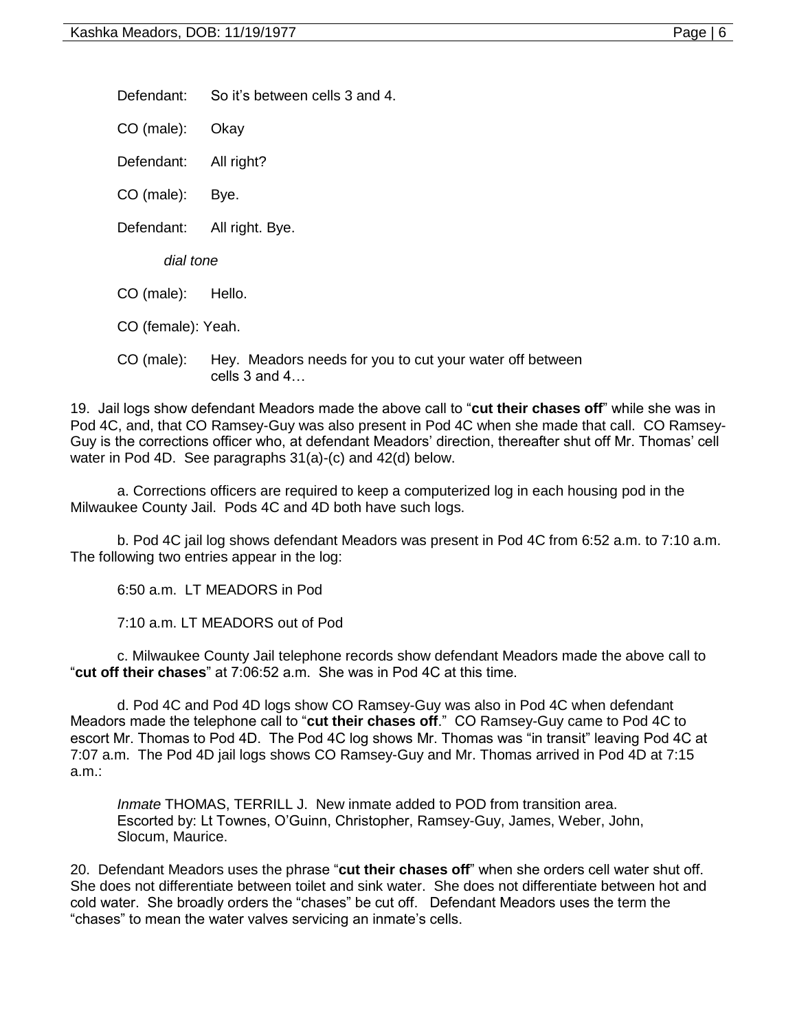Defendant: So it's between cells 3 and 4.

CO (male): Okay

Defendant: All right?

CO (male): Bye.

Defendant: All right. Bye.

*dial tone*

CO (male): Hello.

CO (female): Yeah.

CO (male): Hey. Meadors needs for you to cut your water off between cells 3 and 4…

19. Jail logs show defendant Meadors made the above call to "**cut their chases off**" while she was in Pod 4C, and, that CO Ramsey-Guy was also present in Pod 4C when she made that call. CO Ramsey-Guy is the corrections officer who, at defendant Meadors' direction, thereafter shut off Mr. Thomas' cell water in Pod 4D. See paragraphs 31(a)-(c) and 42(d) below.

a. Corrections officers are required to keep a computerized log in each housing pod in the Milwaukee County Jail. Pods 4C and 4D both have such logs.

b. Pod 4C jail log shows defendant Meadors was present in Pod 4C from 6:52 a.m. to 7:10 a.m. The following two entries appear in the log:

6:50 a.m. LT MEADORS in Pod

7:10 a.m. LT MEADORS out of Pod

c. Milwaukee County Jail telephone records show defendant Meadors made the above call to "**cut off their chases**" at 7:06:52 a.m. She was in Pod 4C at this time.

d. Pod 4C and Pod 4D logs show CO Ramsey-Guy was also in Pod 4C when defendant Meadors made the telephone call to "**cut their chases off**." CO Ramsey-Guy came to Pod 4C to escort Mr. Thomas to Pod 4D. The Pod 4C log shows Mr. Thomas was "in transit" leaving Pod 4C at 7:07 a.m. The Pod 4D jail logs shows CO Ramsey-Guy and Mr. Thomas arrived in Pod 4D at 7:15 a.m.:

*Inmate* THOMAS, TERRILL J. New inmate added to POD from transition area. Escorted by: Lt Townes, O'Guinn, Christopher, Ramsey-Guy, James, Weber, John, Slocum, Maurice.

20. Defendant Meadors uses the phrase "**cut their chases off**" when she orders cell water shut off. She does not differentiate between toilet and sink water. She does not differentiate between hot and cold water. She broadly orders the "chases" be cut off. Defendant Meadors uses the term the "chases" to mean the water valves servicing an inmate's cells.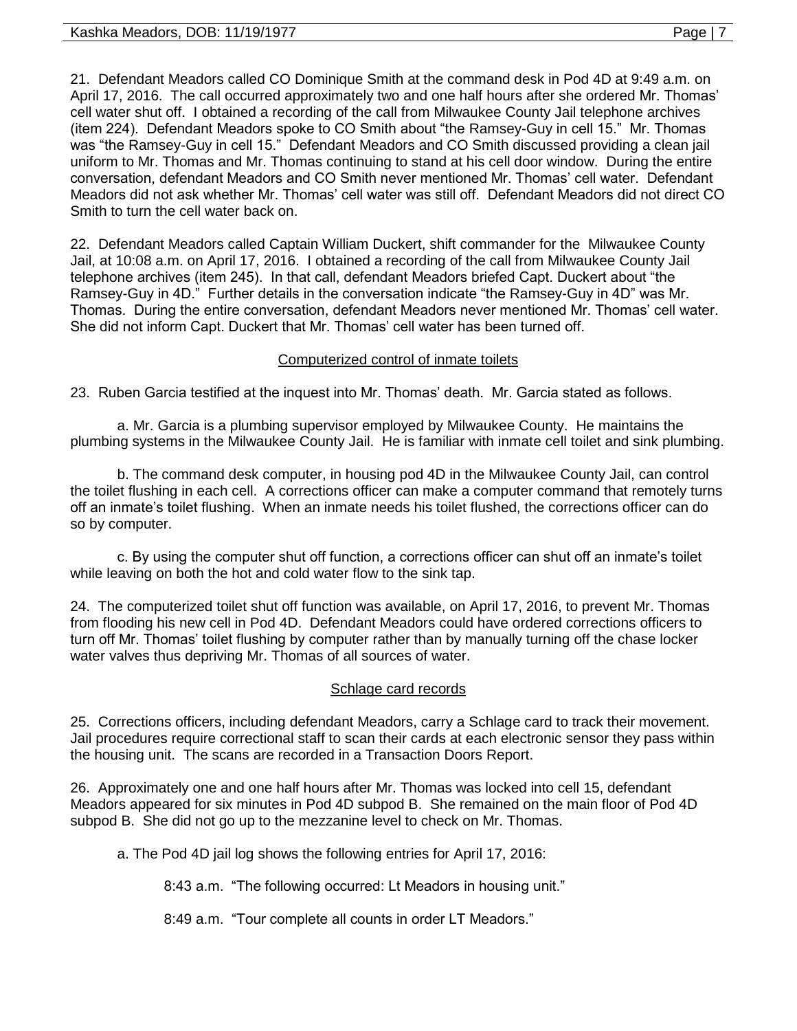21. Defendant Meadors called CO Dominique Smith at the command desk in Pod 4D at 9:49 a.m. on April 17, 2016. The call occurred approximately two and one half hours after she ordered Mr. Thomas' cell water shut off. I obtained a recording of the call from Milwaukee County Jail telephone archives (item 224). Defendant Meadors spoke to CO Smith about "the Ramsey-Guy in cell 15." Mr. Thomas was "the Ramsey-Guy in cell 15." Defendant Meadors and CO Smith discussed providing a clean jail uniform to Mr. Thomas and Mr. Thomas continuing to stand at his cell door window. During the entire conversation, defendant Meadors and CO Smith never mentioned Mr. Thomas' cell water. Defendant Meadors did not ask whether Mr. Thomas' cell water was still off. Defendant Meadors did not direct CO Smith to turn the cell water back on.

22. Defendant Meadors called Captain William Duckert, shift commander for the Milwaukee County Jail, at 10:08 a.m. on April 17, 2016. I obtained a recording of the call from Milwaukee County Jail telephone archives (item 245). In that call, defendant Meadors briefed Capt. Duckert about "the Ramsey-Guy in 4D." Further details in the conversation indicate "the Ramsey-Guy in 4D" was Mr. Thomas. During the entire conversation, defendant Meadors never mentioned Mr. Thomas' cell water. She did not inform Capt. Duckert that Mr. Thomas' cell water has been turned off.

# Computerized control of inmate toilets

23. Ruben Garcia testified at the inquest into Mr. Thomas' death. Mr. Garcia stated as follows.

a. Mr. Garcia is a plumbing supervisor employed by Milwaukee County. He maintains the plumbing systems in the Milwaukee County Jail. He is familiar with inmate cell toilet and sink plumbing.

b. The command desk computer, in housing pod 4D in the Milwaukee County Jail, can control the toilet flushing in each cell. A corrections officer can make a computer command that remotely turns off an inmate's toilet flushing. When an inmate needs his toilet flushed, the corrections officer can do so by computer.

c. By using the computer shut off function, a corrections officer can shut off an inmate's toilet while leaving on both the hot and cold water flow to the sink tap.

24. The computerized toilet shut off function was available, on April 17, 2016, to prevent Mr. Thomas from flooding his new cell in Pod 4D. Defendant Meadors could have ordered corrections officers to turn off Mr. Thomas' toilet flushing by computer rather than by manually turning off the chase locker water valves thus depriving Mr. Thomas of all sources of water.

## Schlage card records

25. Corrections officers, including defendant Meadors, carry a Schlage card to track their movement. Jail procedures require correctional staff to scan their cards at each electronic sensor they pass within the housing unit. The scans are recorded in a Transaction Doors Report.

26. Approximately one and one half hours after Mr. Thomas was locked into cell 15, defendant Meadors appeared for six minutes in Pod 4D subpod B. She remained on the main floor of Pod 4D subpod B. She did not go up to the mezzanine level to check on Mr. Thomas.

a. The Pod 4D jail log shows the following entries for April 17, 2016:

8:43 a.m. "The following occurred: Lt Meadors in housing unit."

8:49 a.m. "Tour complete all counts in order LT Meadors."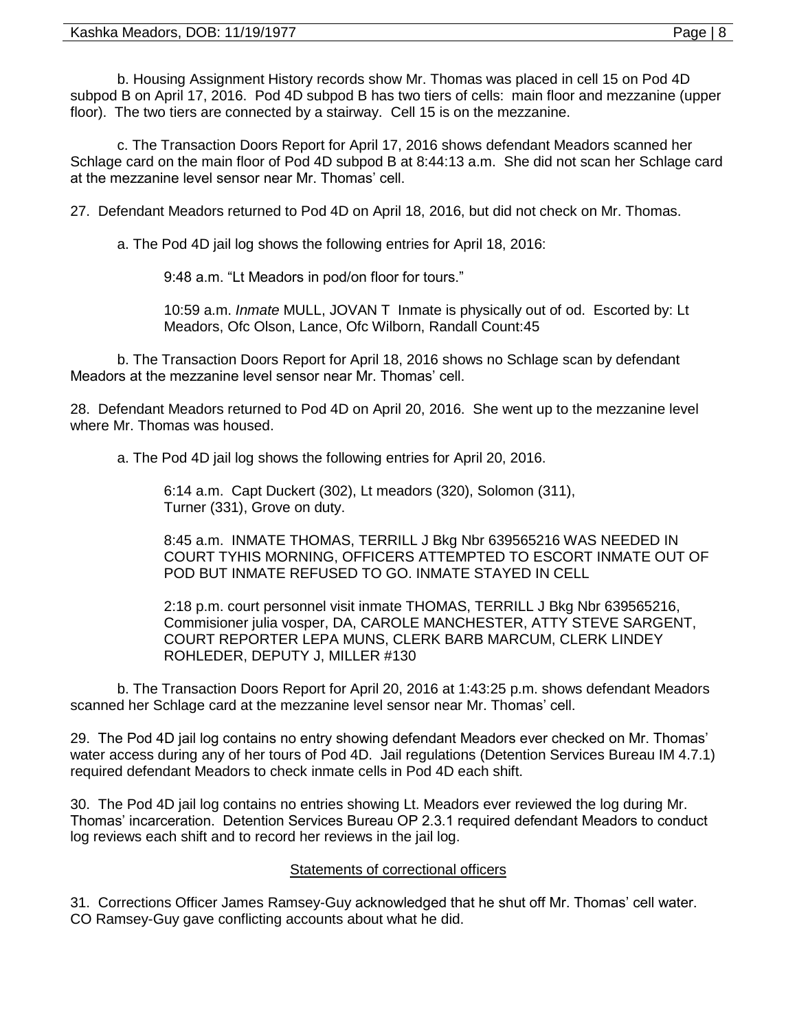b. Housing Assignment History records show Mr. Thomas was placed in cell 15 on Pod 4D subpod B on April 17, 2016. Pod 4D subpod B has two tiers of cells: main floor and mezzanine (upper floor). The two tiers are connected by a stairway. Cell 15 is on the mezzanine.

c. The Transaction Doors Report for April 17, 2016 shows defendant Meadors scanned her Schlage card on the main floor of Pod 4D subpod B at 8:44:13 a.m. She did not scan her Schlage card at the mezzanine level sensor near Mr. Thomas' cell.

27. Defendant Meadors returned to Pod 4D on April 18, 2016, but did not check on Mr. Thomas.

a. The Pod 4D jail log shows the following entries for April 18, 2016:

9:48 a.m. "Lt Meadors in pod/on floor for tours."

10:59 a.m. *Inmate* MULL, JOVAN T Inmate is physically out of od. Escorted by: Lt Meadors, Ofc Olson, Lance, Ofc Wilborn, Randall Count:45

b. The Transaction Doors Report for April 18, 2016 shows no Schlage scan by defendant Meadors at the mezzanine level sensor near Mr. Thomas' cell.

28. Defendant Meadors returned to Pod 4D on April 20, 2016. She went up to the mezzanine level where Mr. Thomas was housed.

a. The Pod 4D jail log shows the following entries for April 20, 2016.

6:14 a.m. Capt Duckert (302), Lt meadors (320), Solomon (311), Turner (331), Grove on duty.

8:45 a.m. INMATE THOMAS, TERRILL J Bkg Nbr 639565216 WAS NEEDED IN COURT TYHIS MORNING, OFFICERS ATTEMPTED TO ESCORT INMATE OUT OF POD BUT INMATE REFUSED TO GO. INMATE STAYED IN CELL

2:18 p.m. court personnel visit inmate THOMAS, TERRILL J Bkg Nbr 639565216, Commisioner julia vosper, DA, CAROLE MANCHESTER, ATTY STEVE SARGENT, COURT REPORTER LEPA MUNS, CLERK BARB MARCUM, CLERK LINDEY ROHLEDER, DEPUTY J, MILLER #130

b. The Transaction Doors Report for April 20, 2016 at 1:43:25 p.m. shows defendant Meadors scanned her Schlage card at the mezzanine level sensor near Mr. Thomas' cell.

29. The Pod 4D jail log contains no entry showing defendant Meadors ever checked on Mr. Thomas' water access during any of her tours of Pod 4D. Jail regulations (Detention Services Bureau IM 4.7.1) required defendant Meadors to check inmate cells in Pod 4D each shift.

30. The Pod 4D jail log contains no entries showing Lt. Meadors ever reviewed the log during Mr. Thomas' incarceration. Detention Services Bureau OP 2.3.1 required defendant Meadors to conduct log reviews each shift and to record her reviews in the jail log.

# Statements of correctional officers

31. Corrections Officer James Ramsey-Guy acknowledged that he shut off Mr. Thomas' cell water. CO Ramsey-Guy gave conflicting accounts about what he did.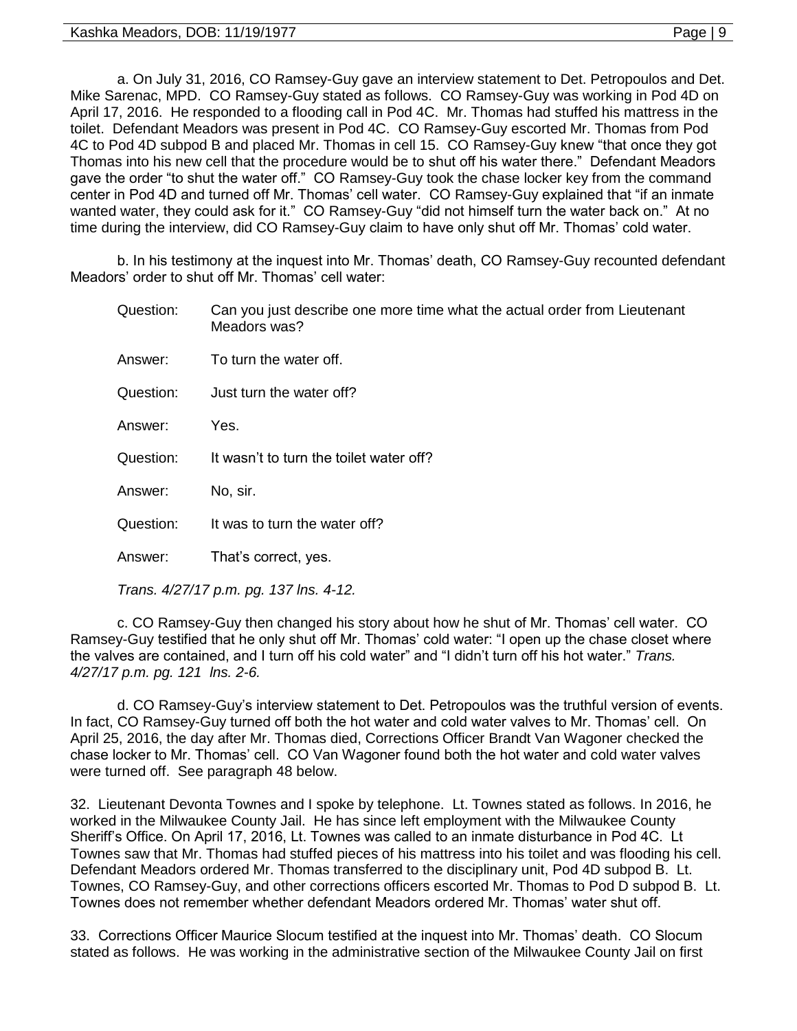a. On July 31, 2016, CO Ramsey-Guy gave an interview statement to Det. Petropoulos and Det. Mike Sarenac, MPD. CO Ramsey-Guy stated as follows. CO Ramsey-Guy was working in Pod 4D on April 17, 2016. He responded to a flooding call in Pod 4C. Mr. Thomas had stuffed his mattress in the toilet. Defendant Meadors was present in Pod 4C. CO Ramsey-Guy escorted Mr. Thomas from Pod 4C to Pod 4D subpod B and placed Mr. Thomas in cell 15. CO Ramsey-Guy knew "that once they got Thomas into his new cell that the procedure would be to shut off his water there." Defendant Meadors gave the order "to shut the water off." CO Ramsey-Guy took the chase locker key from the command center in Pod 4D and turned off Mr. Thomas' cell water. CO Ramsey-Guy explained that "if an inmate wanted water, they could ask for it." CO Ramsey-Guy "did not himself turn the water back on." At no time during the interview, did CO Ramsey-Guy claim to have only shut off Mr. Thomas' cold water.

b. In his testimony at the inquest into Mr. Thomas' death, CO Ramsey-Guy recounted defendant Meadors' order to shut off Mr. Thomas' cell water:

| Question: | Can you just describe one more time what the actual order from Lieutenant<br>Meadors was? |
|-----------|-------------------------------------------------------------------------------------------|
| Answer:   | To turn the water off.                                                                    |
| Question: | Just turn the water off?                                                                  |
| Answer:   | Yes.                                                                                      |
| Question: | It wasn't to turn the toilet water off?                                                   |
| Answer:   | No, sir.                                                                                  |
| Question: | It was to turn the water off?                                                             |
| Answer:   | That's correct, yes.                                                                      |
|           | Trans. 4/27/17 p.m. pg. 137 lns. 4-12.                                                    |

c. CO Ramsey-Guy then changed his story about how he shut of Mr. Thomas' cell water. CO Ramsey-Guy testified that he only shut off Mr. Thomas' cold water: "I open up the chase closet where the valves are contained, and I turn off his cold water" and "I didn't turn off his hot water." *Trans. 4/27/17 p.m. pg. 121 lns. 2-6.* 

d. CO Ramsey-Guy's interview statement to Det. Petropoulos was the truthful version of events. In fact, CO Ramsey-Guy turned off both the hot water and cold water valves to Mr. Thomas' cell. On April 25, 2016, the day after Mr. Thomas died, Corrections Officer Brandt Van Wagoner checked the chase locker to Mr. Thomas' cell. CO Van Wagoner found both the hot water and cold water valves were turned off. See paragraph 48 below.

32. Lieutenant Devonta Townes and I spoke by telephone. Lt. Townes stated as follows. In 2016, he worked in the Milwaukee County Jail. He has since left employment with the Milwaukee County Sheriff's Office. On April 17, 2016, Lt. Townes was called to an inmate disturbance in Pod 4C. Lt Townes saw that Mr. Thomas had stuffed pieces of his mattress into his toilet and was flooding his cell. Defendant Meadors ordered Mr. Thomas transferred to the disciplinary unit, Pod 4D subpod B. Lt. Townes, CO Ramsey-Guy, and other corrections officers escorted Mr. Thomas to Pod D subpod B. Lt. Townes does not remember whether defendant Meadors ordered Mr. Thomas' water shut off.

33. Corrections Officer Maurice Slocum testified at the inquest into Mr. Thomas' death. CO Slocum stated as follows. He was working in the administrative section of the Milwaukee County Jail on first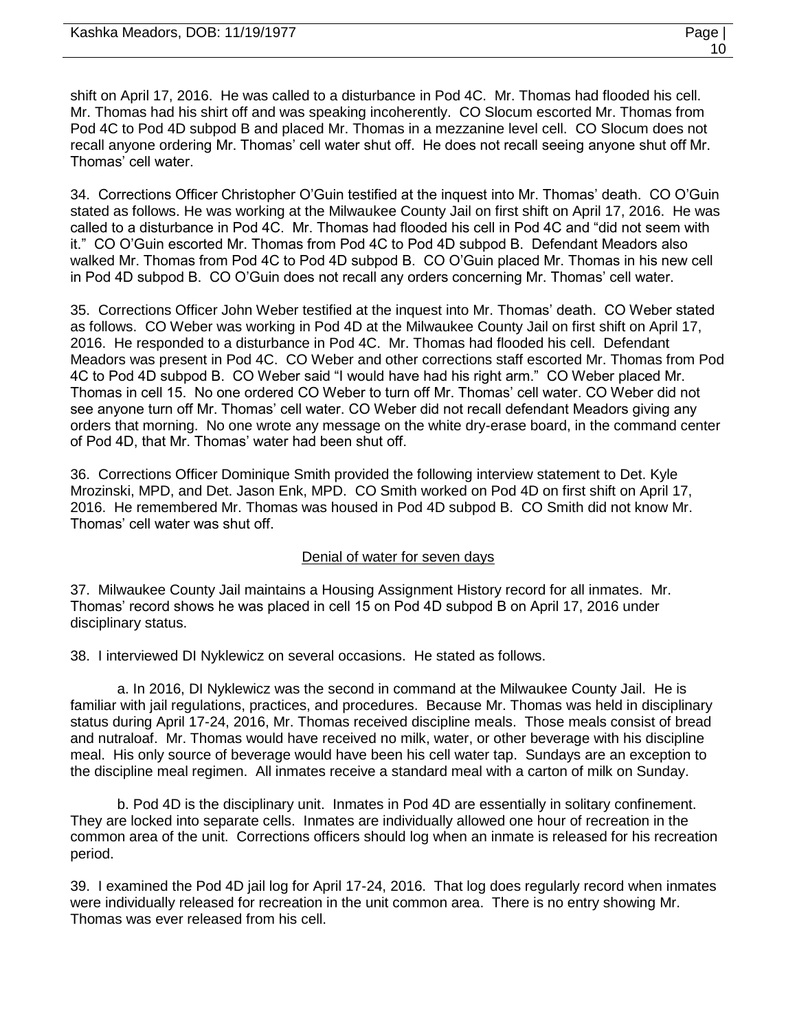shift on April 17, 2016. He was called to a disturbance in Pod 4C. Mr. Thomas had flooded his cell. Mr. Thomas had his shirt off and was speaking incoherently. CO Slocum escorted Mr. Thomas from Pod 4C to Pod 4D subpod B and placed Mr. Thomas in a mezzanine level cell. CO Slocum does not recall anyone ordering Mr. Thomas' cell water shut off. He does not recall seeing anyone shut off Mr. Thomas' cell water.

34. Corrections Officer Christopher O'Guin testified at the inquest into Mr. Thomas' death. CO O'Guin stated as follows. He was working at the Milwaukee County Jail on first shift on April 17, 2016. He was called to a disturbance in Pod 4C. Mr. Thomas had flooded his cell in Pod 4C and "did not seem with it." CO O'Guin escorted Mr. Thomas from Pod 4C to Pod 4D subpod B. Defendant Meadors also walked Mr. Thomas from Pod 4C to Pod 4D subpod B. CO O'Guin placed Mr. Thomas in his new cell in Pod 4D subpod B. CO O'Guin does not recall any orders concerning Mr. Thomas' cell water.

35. Corrections Officer John Weber testified at the inquest into Mr. Thomas' death. CO Weber stated as follows. CO Weber was working in Pod 4D at the Milwaukee County Jail on first shift on April 17, 2016. He responded to a disturbance in Pod 4C. Mr. Thomas had flooded his cell. Defendant Meadors was present in Pod 4C. CO Weber and other corrections staff escorted Mr. Thomas from Pod 4C to Pod 4D subpod B. CO Weber said "I would have had his right arm." CO Weber placed Mr. Thomas in cell 15. No one ordered CO Weber to turn off Mr. Thomas' cell water. CO Weber did not see anyone turn off Mr. Thomas' cell water. CO Weber did not recall defendant Meadors giving any orders that morning. No one wrote any message on the white dry-erase board, in the command center of Pod 4D, that Mr. Thomas' water had been shut off.

36. Corrections Officer Dominique Smith provided the following interview statement to Det. Kyle Mrozinski, MPD, and Det. Jason Enk, MPD. CO Smith worked on Pod 4D on first shift on April 17, 2016. He remembered Mr. Thomas was housed in Pod 4D subpod B. CO Smith did not know Mr. Thomas' cell water was shut off.

# Denial of water for seven days

37. Milwaukee County Jail maintains a Housing Assignment History record for all inmates. Mr. Thomas' record shows he was placed in cell 15 on Pod 4D subpod B on April 17, 2016 under disciplinary status.

38. I interviewed DI Nyklewicz on several occasions. He stated as follows.

a. In 2016, DI Nyklewicz was the second in command at the Milwaukee County Jail. He is familiar with jail regulations, practices, and procedures. Because Mr. Thomas was held in disciplinary status during April 17-24, 2016, Mr. Thomas received discipline meals. Those meals consist of bread and nutraloaf. Mr. Thomas would have received no milk, water, or other beverage with his discipline meal. His only source of beverage would have been his cell water tap. Sundays are an exception to the discipline meal regimen. All inmates receive a standard meal with a carton of milk on Sunday.

b. Pod 4D is the disciplinary unit. Inmates in Pod 4D are essentially in solitary confinement. They are locked into separate cells. Inmates are individually allowed one hour of recreation in the common area of the unit. Corrections officers should log when an inmate is released for his recreation period.

39. I examined the Pod 4D jail log for April 17-24, 2016. That log does regularly record when inmates were individually released for recreation in the unit common area. There is no entry showing Mr. Thomas was ever released from his cell.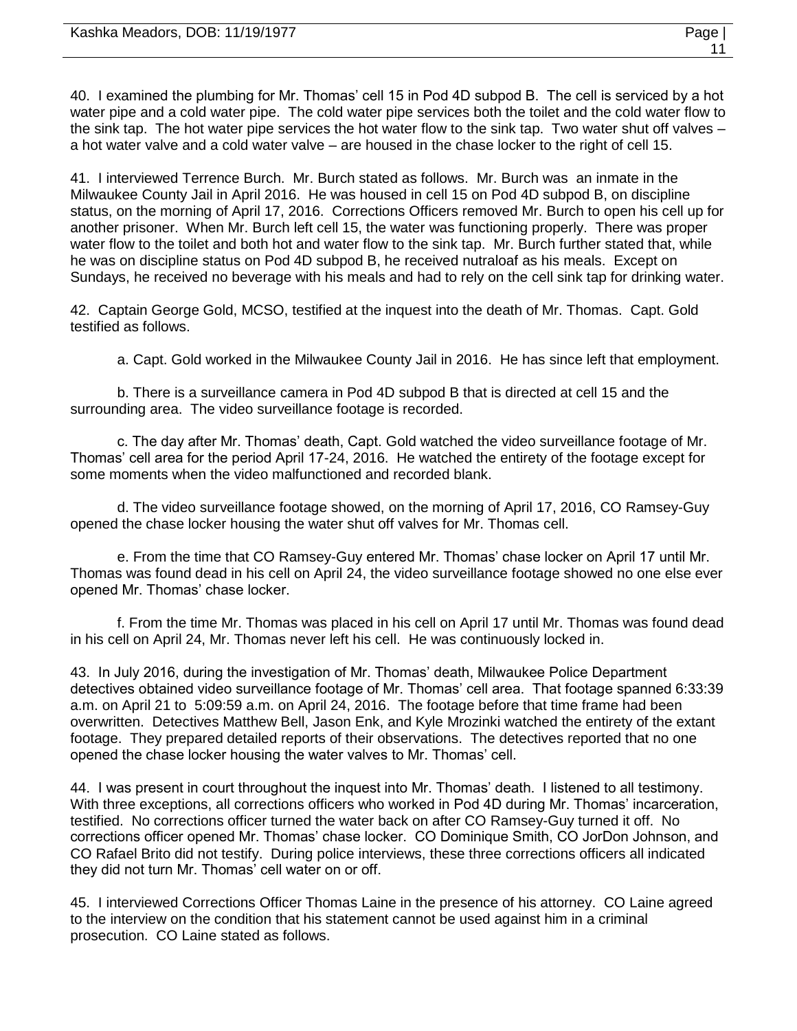| Kashka Meadors, DOB: 11/19/1977 | Page |
|---------------------------------|------|
|                                 |      |

40. I examined the plumbing for Mr. Thomas' cell 15 in Pod 4D subpod B. The cell is serviced by a hot water pipe and a cold water pipe. The cold water pipe services both the toilet and the cold water flow to the sink tap. The hot water pipe services the hot water flow to the sink tap. Two water shut off valves – a hot water valve and a cold water valve – are housed in the chase locker to the right of cell 15.

41. I interviewed Terrence Burch. Mr. Burch stated as follows. Mr. Burch was an inmate in the Milwaukee County Jail in April 2016. He was housed in cell 15 on Pod 4D subpod B, on discipline status, on the morning of April 17, 2016. Corrections Officers removed Mr. Burch to open his cell up for another prisoner. When Mr. Burch left cell 15, the water was functioning properly. There was proper water flow to the toilet and both hot and water flow to the sink tap. Mr. Burch further stated that, while he was on discipline status on Pod 4D subpod B, he received nutraloaf as his meals. Except on Sundays, he received no beverage with his meals and had to rely on the cell sink tap for drinking water.

42. Captain George Gold, MCSO, testified at the inquest into the death of Mr. Thomas. Capt. Gold testified as follows.

a. Capt. Gold worked in the Milwaukee County Jail in 2016. He has since left that employment.

b. There is a surveillance camera in Pod 4D subpod B that is directed at cell 15 and the surrounding area. The video surveillance footage is recorded.

c. The day after Mr. Thomas' death, Capt. Gold watched the video surveillance footage of Mr. Thomas' cell area for the period April 17-24, 2016. He watched the entirety of the footage except for some moments when the video malfunctioned and recorded blank.

d. The video surveillance footage showed, on the morning of April 17, 2016, CO Ramsey-Guy opened the chase locker housing the water shut off valves for Mr. Thomas cell.

e. From the time that CO Ramsey-Guy entered Mr. Thomas' chase locker on April 17 until Mr. Thomas was found dead in his cell on April 24, the video surveillance footage showed no one else ever opened Mr. Thomas' chase locker.

f. From the time Mr. Thomas was placed in his cell on April 17 until Mr. Thomas was found dead in his cell on April 24, Mr. Thomas never left his cell. He was continuously locked in.

43. In July 2016, during the investigation of Mr. Thomas' death, Milwaukee Police Department detectives obtained video surveillance footage of Mr. Thomas' cell area. That footage spanned 6:33:39 a.m. on April 21 to 5:09:59 a.m. on April 24, 2016. The footage before that time frame had been overwritten. Detectives Matthew Bell, Jason Enk, and Kyle Mrozinki watched the entirety of the extant footage. They prepared detailed reports of their observations. The detectives reported that no one opened the chase locker housing the water valves to Mr. Thomas' cell.

44. I was present in court throughout the inquest into Mr. Thomas' death. I listened to all testimony. With three exceptions, all corrections officers who worked in Pod 4D during Mr. Thomas' incarceration, testified. No corrections officer turned the water back on after CO Ramsey-Guy turned it off. No corrections officer opened Mr. Thomas' chase locker. CO Dominique Smith, CO JorDon Johnson, and CO Rafael Brito did not testify. During police interviews, these three corrections officers all indicated they did not turn Mr. Thomas' cell water on or off.

45. I interviewed Corrections Officer Thomas Laine in the presence of his attorney. CO Laine agreed to the interview on the condition that his statement cannot be used against him in a criminal prosecution. CO Laine stated as follows.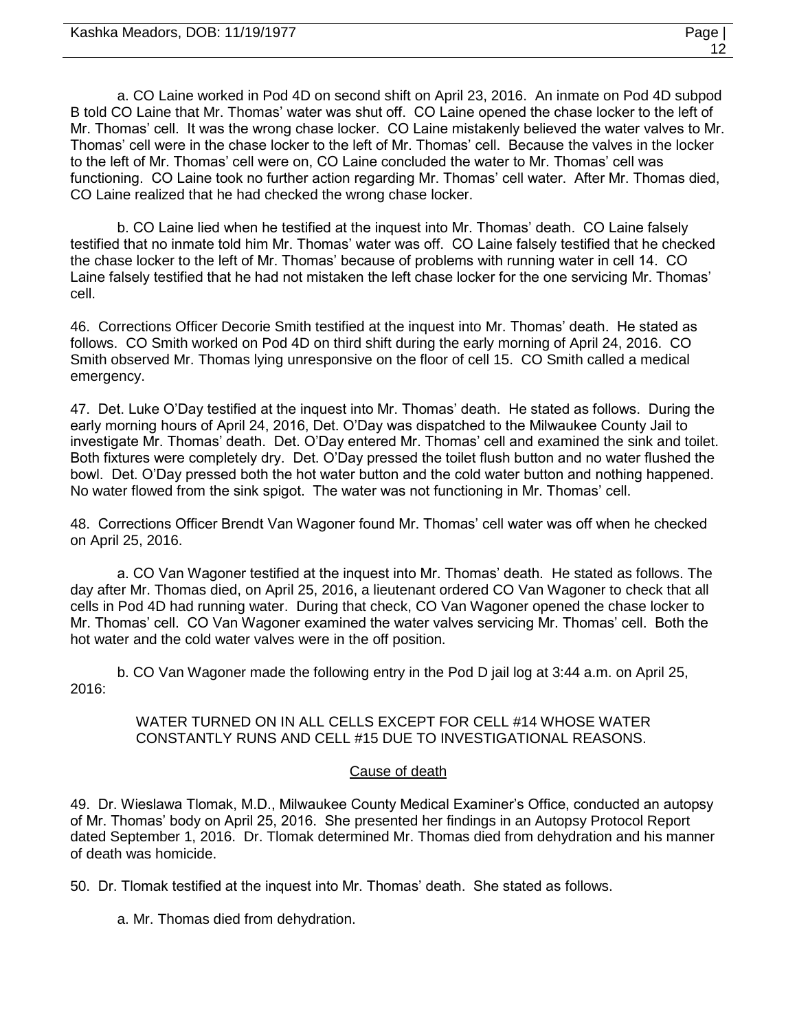a. CO Laine worked in Pod 4D on second shift on April 23, 2016. An inmate on Pod 4D subpod B told CO Laine that Mr. Thomas' water was shut off. CO Laine opened the chase locker to the left of Mr. Thomas' cell. It was the wrong chase locker. CO Laine mistakenly believed the water valves to Mr. Thomas' cell were in the chase locker to the left of Mr. Thomas' cell. Because the valves in the locker to the left of Mr. Thomas' cell were on, CO Laine concluded the water to Mr. Thomas' cell was functioning. CO Laine took no further action regarding Mr. Thomas' cell water. After Mr. Thomas died, CO Laine realized that he had checked the wrong chase locker.

b. CO Laine lied when he testified at the inquest into Mr. Thomas' death. CO Laine falsely testified that no inmate told him Mr. Thomas' water was off. CO Laine falsely testified that he checked the chase locker to the left of Mr. Thomas' because of problems with running water in cell 14. CO Laine falsely testified that he had not mistaken the left chase locker for the one servicing Mr. Thomas' cell.

46. Corrections Officer Decorie Smith testified at the inquest into Mr. Thomas' death. He stated as follows. CO Smith worked on Pod 4D on third shift during the early morning of April 24, 2016. CO Smith observed Mr. Thomas lying unresponsive on the floor of cell 15. CO Smith called a medical emergency.

47. Det. Luke O'Day testified at the inquest into Mr. Thomas' death. He stated as follows. During the early morning hours of April 24, 2016, Det. O'Day was dispatched to the Milwaukee County Jail to investigate Mr. Thomas' death. Det. O'Day entered Mr. Thomas' cell and examined the sink and toilet. Both fixtures were completely dry. Det. O'Day pressed the toilet flush button and no water flushed the bowl. Det. O'Day pressed both the hot water button and the cold water button and nothing happened. No water flowed from the sink spigot. The water was not functioning in Mr. Thomas' cell.

48. Corrections Officer Brendt Van Wagoner found Mr. Thomas' cell water was off when he checked on April 25, 2016.

a. CO Van Wagoner testified at the inquest into Mr. Thomas' death. He stated as follows. The day after Mr. Thomas died, on April 25, 2016, a lieutenant ordered CO Van Wagoner to check that all cells in Pod 4D had running water. During that check, CO Van Wagoner opened the chase locker to Mr. Thomas' cell. CO Van Wagoner examined the water valves servicing Mr. Thomas' cell. Both the hot water and the cold water valves were in the off position.

b. CO Van Wagoner made the following entry in the Pod D jail log at 3:44 a.m. on April 25, 2016:

> WATER TURNED ON IN ALL CELLS EXCEPT FOR CELL #14 WHOSE WATER CONSTANTLY RUNS AND CELL #15 DUE TO INVESTIGATIONAL REASONS.

## Cause of death

49. Dr. Wieslawa Tlomak, M.D., Milwaukee County Medical Examiner's Office, conducted an autopsy of Mr. Thomas' body on April 25, 2016. She presented her findings in an Autopsy Protocol Report dated September 1, 2016. Dr. Tlomak determined Mr. Thomas died from dehydration and his manner of death was homicide.

50. Dr. Tlomak testified at the inquest into Mr. Thomas' death. She stated as follows.

a. Mr. Thomas died from dehydration.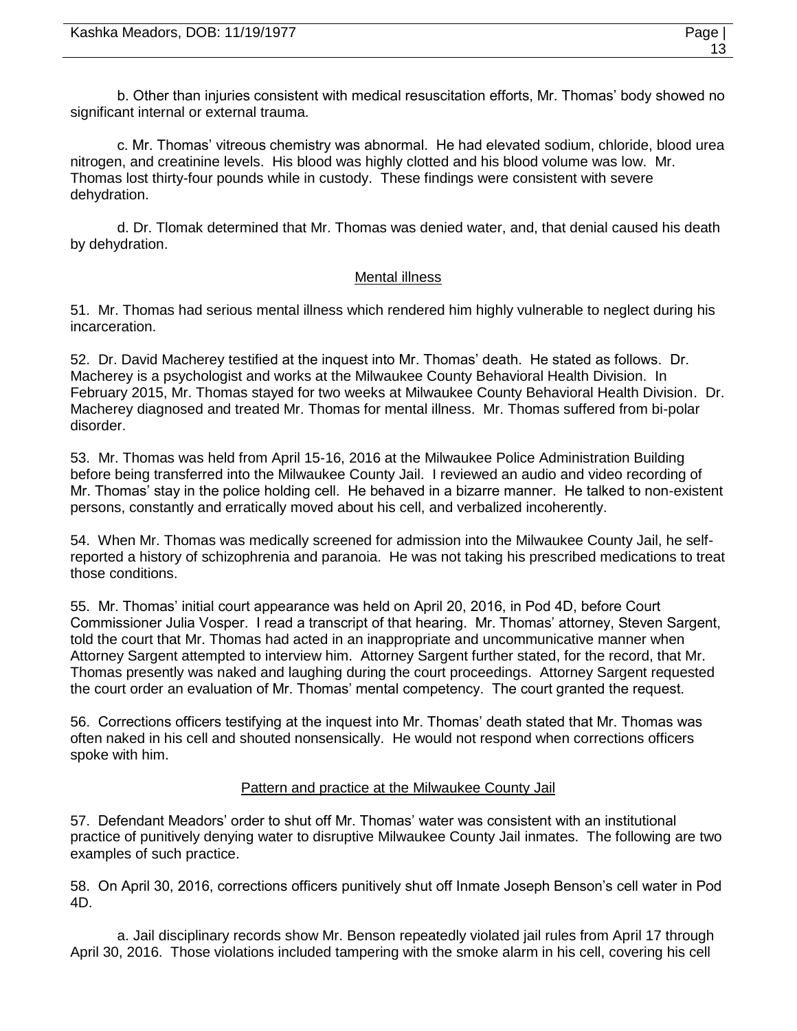b. Other than injuries consistent with medical resuscitation efforts, Mr. Thomas' body showed no significant internal or external trauma.

c. Mr. Thomas' vitreous chemistry was abnormal. He had elevated sodium, chloride, blood urea nitrogen, and creatinine levels. His blood was highly clotted and his blood volume was low. Mr. Thomas lost thirty-four pounds while in custody. These findings were consistent with severe dehydration.

d. Dr. Tlomak determined that Mr. Thomas was denied water, and, that denial caused his death by dehydration.

## Mental illness

51. Mr. Thomas had serious mental illness which rendered him highly vulnerable to neglect during his incarceration.

52. Dr. David Macherey testified at the inquest into Mr. Thomas' death. He stated as follows. Dr. Macherey is a psychologist and works at the Milwaukee County Behavioral Health Division. In February 2015, Mr. Thomas stayed for two weeks at Milwaukee County Behavioral Health Division. Dr. Macherey diagnosed and treated Mr. Thomas for mental illness. Mr. Thomas suffered from bi-polar disorder.

53. Mr. Thomas was held from April 15-16, 2016 at the Milwaukee Police Administration Building before being transferred into the Milwaukee County Jail. I reviewed an audio and video recording of Mr. Thomas' stay in the police holding cell. He behaved in a bizarre manner. He talked to non-existent persons, constantly and erratically moved about his cell, and verbalized incoherently.

54. When Mr. Thomas was medically screened for admission into the Milwaukee County Jail, he selfreported a history of schizophrenia and paranoia. He was not taking his prescribed medications to treat those conditions.

55. Mr. Thomas' initial court appearance was held on April 20, 2016, in Pod 4D, before Court Commissioner Julia Vosper. I read a transcript of that hearing. Mr. Thomas' attorney, Steven Sargent, told the court that Mr. Thomas had acted in an inappropriate and uncommunicative manner when Attorney Sargent attempted to interview him. Attorney Sargent further stated, for the record, that Mr. Thomas presently was naked and laughing during the court proceedings. Attorney Sargent requested the court order an evaluation of Mr. Thomas' mental competency. The court granted the request.

56. Corrections officers testifying at the inquest into Mr. Thomas' death stated that Mr. Thomas was often naked in his cell and shouted nonsensically. He would not respond when corrections officers spoke with him.

## Pattern and practice at the Milwaukee County Jail

57. Defendant Meadors' order to shut off Mr. Thomas' water was consistent with an institutional practice of punitively denying water to disruptive Milwaukee County Jail inmates. The following are two examples of such practice.

58. On April 30, 2016, corrections officers punitively shut off Inmate Joseph Benson's cell water in Pod 4D.

a. Jail disciplinary records show Mr. Benson repeatedly violated jail rules from April 17 through April 30, 2016. Those violations included tampering with the smoke alarm in his cell, covering his cell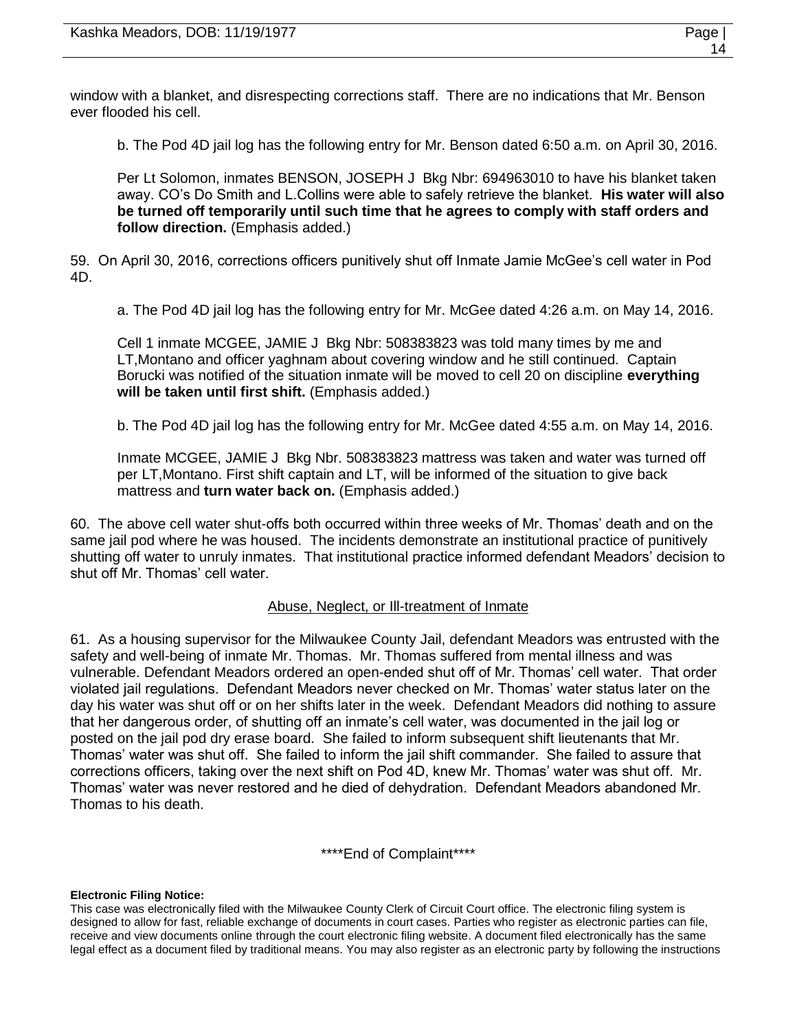window with a blanket, and disrespecting corrections staff. There are no indications that Mr. Benson ever flooded his cell.

b. The Pod 4D jail log has the following entry for Mr. Benson dated 6:50 a.m. on April 30, 2016.

Per Lt Solomon, inmates BENSON, JOSEPH J Bkg Nbr: 694963010 to have his blanket taken away. CO's Do Smith and L.Collins were able to safely retrieve the blanket. **His water will also be turned off temporarily until such time that he agrees to comply with staff orders and follow direction.** (Emphasis added.)

59. On April 30, 2016, corrections officers punitively shut off Inmate Jamie McGee's cell water in Pod 4D.

a. The Pod 4D jail log has the following entry for Mr. McGee dated 4:26 a.m. on May 14, 2016.

Cell 1 inmate MCGEE, JAMIE J Bkg Nbr: 508383823 was told many times by me and LT,Montano and officer yaghnam about covering window and he still continued. Captain Borucki was notified of the situation inmate will be moved to cell 20 on discipline **everything will be taken until first shift.** (Emphasis added.)

b. The Pod 4D jail log has the following entry for Mr. McGee dated 4:55 a.m. on May 14, 2016.

Inmate MCGEE, JAMIE J Bkg Nbr. 508383823 mattress was taken and water was turned off per LT,Montano. First shift captain and LT, will be informed of the situation to give back mattress and **turn water back on.** (Emphasis added.)

60. The above cell water shut-offs both occurred within three weeks of Mr. Thomas' death and on the same jail pod where he was housed. The incidents demonstrate an institutional practice of punitively shutting off water to unruly inmates. That institutional practice informed defendant Meadors' decision to shut off Mr. Thomas' cell water.

#### Abuse, Neglect, or Ill-treatment of Inmate

61. As a housing supervisor for the Milwaukee County Jail, defendant Meadors was entrusted with the safety and well-being of inmate Mr. Thomas. Mr. Thomas suffered from mental illness and was vulnerable. Defendant Meadors ordered an open-ended shut off of Mr. Thomas' cell water. That order violated jail regulations. Defendant Meadors never checked on Mr. Thomas' water status later on the day his water was shut off or on her shifts later in the week. Defendant Meadors did nothing to assure that her dangerous order, of shutting off an inmate's cell water, was documented in the jail log or posted on the jail pod dry erase board. She failed to inform subsequent shift lieutenants that Mr. Thomas' water was shut off. She failed to inform the jail shift commander. She failed to assure that corrections officers, taking over the next shift on Pod 4D, knew Mr. Thomas' water was shut off. Mr. Thomas' water was never restored and he died of dehydration. Defendant Meadors abandoned Mr. Thomas to his death.

\*\*\*\*End of Complaint\*\*\*\*

#### **Electronic Filing Notice:**

This case was electronically filed with the Milwaukee County Clerk of Circuit Court office. The electronic filing system is designed to allow for fast, reliable exchange of documents in court cases. Parties who register as electronic parties can file, receive and view documents online through the court electronic filing website. A document filed electronically has the same legal effect as a document filed by traditional means. You may also register as an electronic party by following the instructions